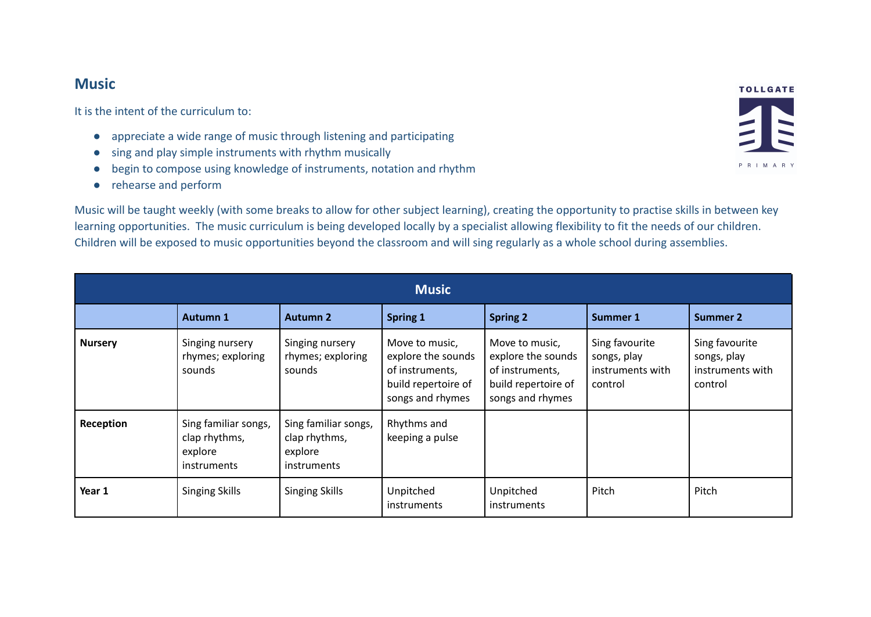## **Music**

It is the intent of the curriculum to:

- appreciate a wide range of music through listening and participating
- sing and play simple instruments with rhythm musically
- begin to compose using knowledge of instruments, notation and rhythm
- rehearse and perform

Music will be taught weekly (with some breaks to allow for other subject learning), creating the opportunity to practise skills in between key learning opportunities. The music curriculum is being developed locally by a specialist allowing flexibility to fit the needs of our children. Children will be exposed to music opportunities beyond the classroom and will sing regularly as a whole school during assemblies.

| <b>Music</b>   |                                                                 |                                                                 |                                                                                                    |                                                                                                    |                                                              |                                                              |  |  |  |  |
|----------------|-----------------------------------------------------------------|-----------------------------------------------------------------|----------------------------------------------------------------------------------------------------|----------------------------------------------------------------------------------------------------|--------------------------------------------------------------|--------------------------------------------------------------|--|--|--|--|
|                | <b>Autumn 1</b>                                                 | <b>Autumn 2</b>                                                 | <b>Spring 1</b>                                                                                    | <b>Spring 2</b>                                                                                    | <b>Summer 1</b>                                              | <b>Summer 2</b>                                              |  |  |  |  |
| <b>Nursery</b> | Singing nursery<br>rhymes; exploring<br>sounds                  | Singing nursery<br>rhymes; exploring<br>sounds                  | Move to music,<br>explore the sounds<br>of instruments,<br>build repertoire of<br>songs and rhymes | Move to music,<br>explore the sounds<br>of instruments,<br>build repertoire of<br>songs and rhymes | Sing favourite<br>songs, play<br>instruments with<br>control | Sing favourite<br>songs, play<br>instruments with<br>control |  |  |  |  |
| Reception      | Sing familiar songs,<br>clap rhythms,<br>explore<br>instruments | Sing familiar songs,<br>clap rhythms,<br>explore<br>instruments | Rhythms and<br>keeping a pulse                                                                     |                                                                                                    |                                                              |                                                              |  |  |  |  |
| Year 1         | <b>Singing Skills</b>                                           | <b>Singing Skills</b>                                           | Unpitched<br><i>instruments</i>                                                                    | Unpitched<br>instruments                                                                           | Pitch                                                        | Pitch                                                        |  |  |  |  |